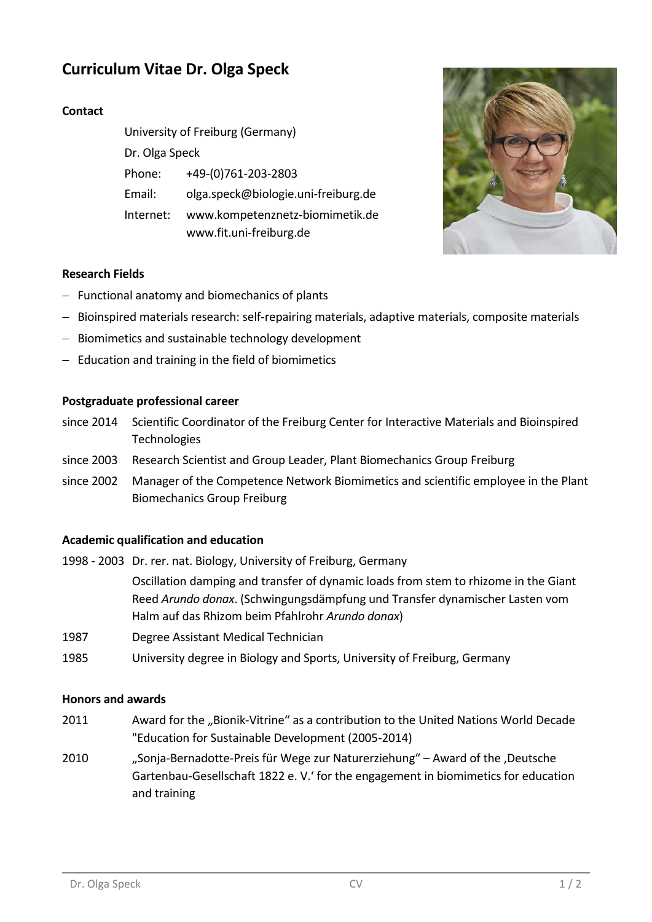# **Curriculum Vitae Dr. Olga Speck**

## **Contact**

| University of Freiburg (Germany) |                                     |
|----------------------------------|-------------------------------------|
| Dr. Olga Speck                   |                                     |
| Phone:                           | +49-(0)761-203-2803                 |
| Email:                           | olga.speck@biologie.uni-freiburg.de |
| Internet:                        | www.kompetenznetz-biomimetik.de     |
|                                  | www.fit.uni-freiburg.de             |



### **Research Fields**

- − Functional anatomy and biomechanics of plants
- − Bioinspired materials research: self-repairing materials, adaptive materials, composite materials
- − Biomimetics and sustainable technology development
- − Education and training in the field of biomimetics

#### **Postgraduate professional career**

- since 2014 Scientific Coordinator of the Freiburg Center for Interactive Materials and Bioinspired **Technologies**
- since 2003 Research Scientist and Group Leader, Plant Biomechanics Group Freiburg
- since 2002 Manager of the Competence Network Biomimetics and scientific employee in the Plant Biomechanics Group Freiburg

#### **Academic qualification and education**

- 1998 2003 Dr. rer. nat. Biology, University of Freiburg, Germany Oscillation damping and transfer of dynamic loads from stem to rhizome in the Giant Reed *Arundo donax*. (Schwingungsdämpfung und Transfer dynamischer Lasten vom Halm auf das Rhizom beim Pfahlrohr *Arundo donax*)
- 1987 Degree Assistant Medical Technician
- 1985 University degree in Biology and Sports, University of Freiburg, Germany

#### **Honors and awards**

- 2011 Award for the "Bionik-Vitrine" as a contribution to the United Nations World Decade "Education for Sustainable Development (2005-2014)
- 2010 "Sonja-Bernadotte-Preis für Wege zur Naturerziehung" Award of the ,Deutsche Gartenbau-Gesellschaft 1822 e. V.' for the engagement in biomimetics for education and training